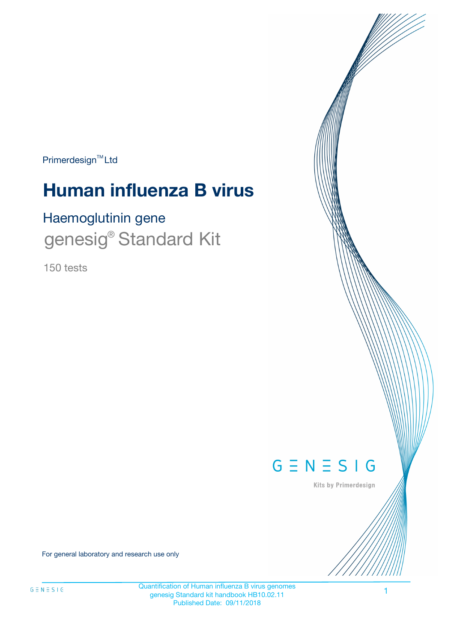Primerdesign<sup>™</sup>Ltd

# **Human influenza B virus**

# Haemoglutinin gene genesig<sup>®</sup> Standard Kit

150 tests



Kits by Primerdesign

For general laboratory and research use only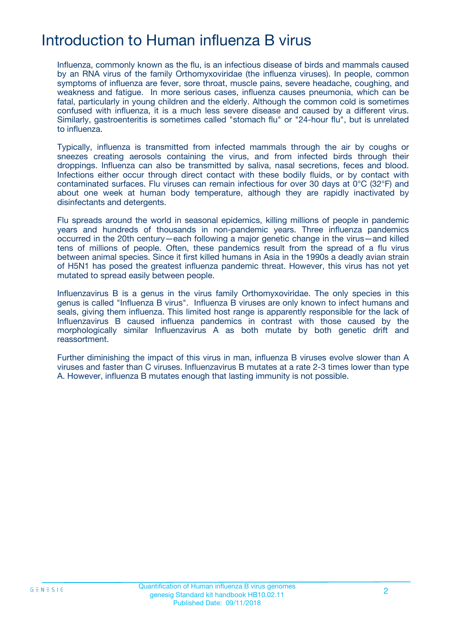# Introduction to Human influenza B virus

Influenza, commonly known as the flu, is an infectious disease of birds and mammals caused by an RNA virus of the family Orthomyxoviridae (the influenza viruses). In people, common symptoms of influenza are fever, sore throat, muscle pains, severe headache, coughing, and weakness and fatigue. In more serious cases, influenza causes pneumonia, which can be fatal, particularly in young children and the elderly. Although the common cold is sometimes confused with influenza, it is a much less severe disease and caused by a different virus. Similarly, gastroenteritis is sometimes called "stomach flu" or "24-hour flu", but is unrelated to influenza.

Typically, influenza is transmitted from infected mammals through the air by coughs or sneezes creating aerosols containing the virus, and from infected birds through their droppings. Influenza can also be transmitted by saliva, nasal secretions, feces and blood. Infections either occur through direct contact with these bodily fluids, or by contact with contaminated surfaces. Flu viruses can remain infectious for over 30 days at 0°C (32°F) and about one week at human body temperature, although they are rapidly inactivated by disinfectants and detergents.

Flu spreads around the world in seasonal epidemics, killing millions of people in pandemic years and hundreds of thousands in non-pandemic years. Three influenza pandemics occurred in the 20th century—each following a major genetic change in the virus—and killed tens of millions of people. Often, these pandemics result from the spread of a flu virus between animal species. Since it first killed humans in Asia in the 1990s a deadly avian strain of H5N1 has posed the greatest influenza pandemic threat. However, this virus has not yet mutated to spread easily between people.

Influenzavirus B is a genus in the virus family Orthomyxoviridae. The only species in this genus is called "Influenza B virus". Influenza B viruses are only known to infect humans and seals, giving them influenza. This limited host range is apparently responsible for the lack of Influenzavirus B caused influenza pandemics in contrast with those caused by the morphologically similar Influenzavirus A as both mutate by both genetic drift and reassortment.

Further diminishing the impact of this virus in man, influenza B viruses evolve slower than A viruses and faster than C viruses. Influenzavirus B mutates at a rate 2-3 times lower than type A. However, influenza B mutates enough that lasting immunity is not possible.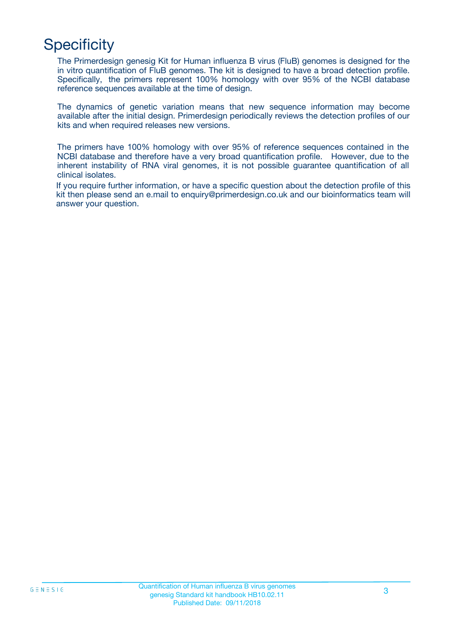# **Specificity**

The Primerdesign genesig Kit for Human influenza B virus (FluB) genomes is designed for the in vitro quantification of FluB genomes. The kit is designed to have a broad detection profile. Specifically, the primers represent 100% homology with over 95% of the NCBI database reference sequences available at the time of design.

The dynamics of genetic variation means that new sequence information may become available after the initial design. Primerdesign periodically reviews the detection profiles of our kits and when required releases new versions.

The primers have 100% homology with over 95% of reference sequences contained in the NCBI database and therefore have a very broad quantification profile. However, due to the inherent instability of RNA viral genomes, it is not possible guarantee quantification of all clinical isolates.

If you require further information, or have a specific question about the detection profile of this kit then please send an e.mail to enquiry@primerdesign.co.uk and our bioinformatics team will answer your question.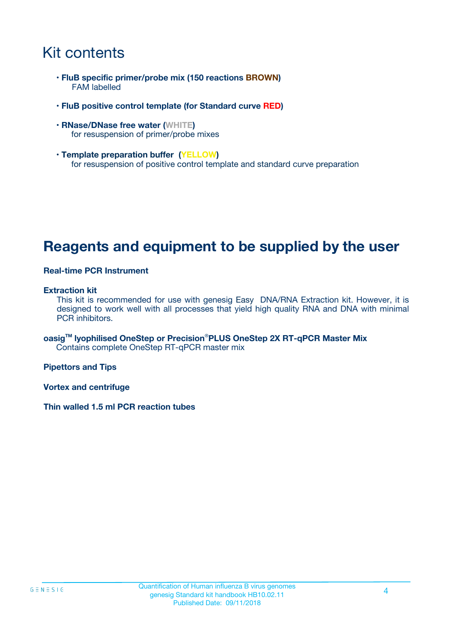## Kit contents

- **FluB specific primer/probe mix (150 reactions BROWN)** FAM labelled
- **FluB positive control template (for Standard curve RED)**
- **RNase/DNase free water (WHITE)** for resuspension of primer/probe mixes
- **Template preparation buffer (YELLOW)** for resuspension of positive control template and standard curve preparation

## **Reagents and equipment to be supplied by the user**

#### **Real-time PCR Instrument**

#### **Extraction kit**

This kit is recommended for use with genesig Easy DNA/RNA Extraction kit. However, it is designed to work well with all processes that yield high quality RNA and DNA with minimal PCR inhibitors.

**oasigTM lyophilised OneStep or Precision**®**PLUS OneStep 2X RT-qPCR Master Mix** Contains complete OneStep RT-qPCR master mix

**Pipettors and Tips**

**Vortex and centrifuge**

**Thin walled 1.5 ml PCR reaction tubes**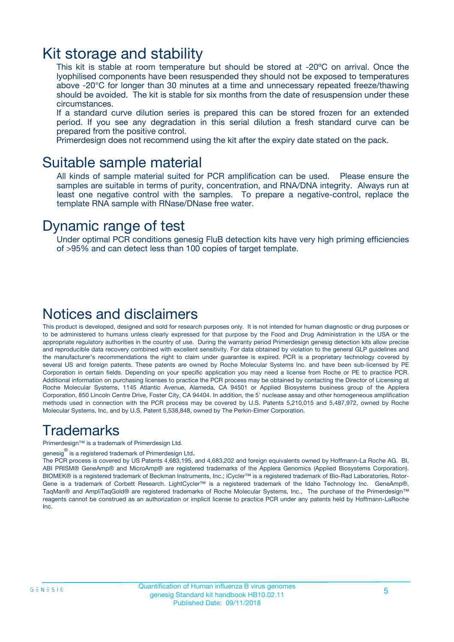### Kit storage and stability

This kit is stable at room temperature but should be stored at -20ºC on arrival. Once the lyophilised components have been resuspended they should not be exposed to temperatures above -20°C for longer than 30 minutes at a time and unnecessary repeated freeze/thawing should be avoided. The kit is stable for six months from the date of resuspension under these circumstances.

If a standard curve dilution series is prepared this can be stored frozen for an extended period. If you see any degradation in this serial dilution a fresh standard curve can be prepared from the positive control.

Primerdesign does not recommend using the kit after the expiry date stated on the pack.

### Suitable sample material

All kinds of sample material suited for PCR amplification can be used. Please ensure the samples are suitable in terms of purity, concentration, and RNA/DNA integrity. Always run at least one negative control with the samples. To prepare a negative-control, replace the template RNA sample with RNase/DNase free water.

### Dynamic range of test

Under optimal PCR conditions genesig FluB detection kits have very high priming efficiencies of >95% and can detect less than 100 copies of target template.

### Notices and disclaimers

This product is developed, designed and sold for research purposes only. It is not intended for human diagnostic or drug purposes or to be administered to humans unless clearly expressed for that purpose by the Food and Drug Administration in the USA or the appropriate regulatory authorities in the country of use. During the warranty period Primerdesign genesig detection kits allow precise and reproducible data recovery combined with excellent sensitivity. For data obtained by violation to the general GLP guidelines and the manufacturer's recommendations the right to claim under guarantee is expired. PCR is a proprietary technology covered by several US and foreign patents. These patents are owned by Roche Molecular Systems Inc. and have been sub-licensed by PE Corporation in certain fields. Depending on your specific application you may need a license from Roche or PE to practice PCR. Additional information on purchasing licenses to practice the PCR process may be obtained by contacting the Director of Licensing at Roche Molecular Systems, 1145 Atlantic Avenue, Alameda, CA 94501 or Applied Biosystems business group of the Applera Corporation, 850 Lincoln Centre Drive, Foster City, CA 94404. In addition, the 5' nuclease assay and other homogeneous amplification methods used in connection with the PCR process may be covered by U.S. Patents 5,210,015 and 5,487,972, owned by Roche Molecular Systems, Inc, and by U.S. Patent 5,538,848, owned by The Perkin-Elmer Corporation.

### Trademarks

Primerdesign™ is a trademark of Primerdesign Ltd.

genesig $^\circledR$  is a registered trademark of Primerdesign Ltd.

The PCR process is covered by US Patents 4,683,195, and 4,683,202 and foreign equivalents owned by Hoffmann-La Roche AG. BI, ABI PRISM® GeneAmp® and MicroAmp® are registered trademarks of the Applera Genomics (Applied Biosystems Corporation). BIOMEK® is a registered trademark of Beckman Instruments, Inc.; iCycler™ is a registered trademark of Bio-Rad Laboratories, Rotor-Gene is a trademark of Corbett Research. LightCycler™ is a registered trademark of the Idaho Technology Inc. GeneAmp®, TaqMan® and AmpliTaqGold® are registered trademarks of Roche Molecular Systems, Inc., The purchase of the Primerdesign™ reagents cannot be construed as an authorization or implicit license to practice PCR under any patents held by Hoffmann-LaRoche Inc.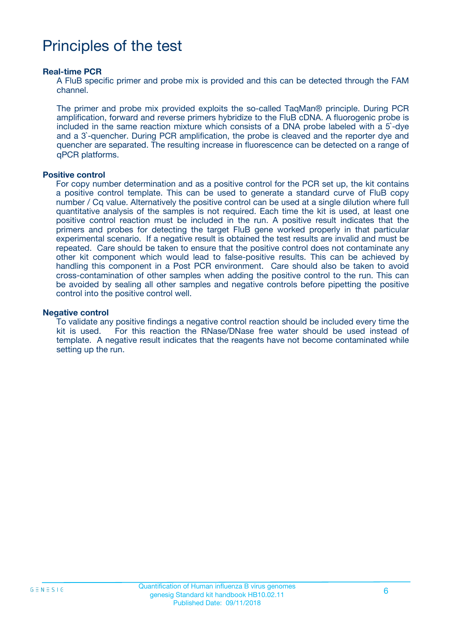# Principles of the test

#### **Real-time PCR**

A FluB specific primer and probe mix is provided and this can be detected through the FAM channel.

The primer and probe mix provided exploits the so-called TaqMan® principle. During PCR amplification, forward and reverse primers hybridize to the FluB cDNA. A fluorogenic probe is included in the same reaction mixture which consists of a DNA probe labeled with a 5`-dye and a 3`-quencher. During PCR amplification, the probe is cleaved and the reporter dye and quencher are separated. The resulting increase in fluorescence can be detected on a range of qPCR platforms.

#### **Positive control**

For copy number determination and as a positive control for the PCR set up, the kit contains a positive control template. This can be used to generate a standard curve of FluB copy number / Cq value. Alternatively the positive control can be used at a single dilution where full quantitative analysis of the samples is not required. Each time the kit is used, at least one positive control reaction must be included in the run. A positive result indicates that the primers and probes for detecting the target FluB gene worked properly in that particular experimental scenario. If a negative result is obtained the test results are invalid and must be repeated. Care should be taken to ensure that the positive control does not contaminate any other kit component which would lead to false-positive results. This can be achieved by handling this component in a Post PCR environment. Care should also be taken to avoid cross-contamination of other samples when adding the positive control to the run. This can be avoided by sealing all other samples and negative controls before pipetting the positive control into the positive control well.

#### **Negative control**

To validate any positive findings a negative control reaction should be included every time the kit is used. For this reaction the RNase/DNase free water should be used instead of template. A negative result indicates that the reagents have not become contaminated while setting up the run.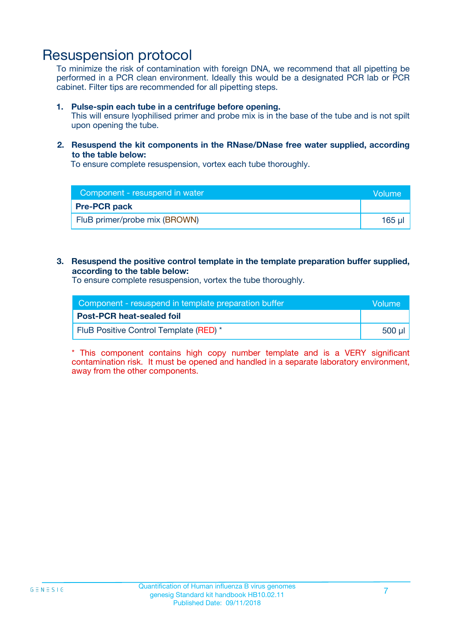### Resuspension protocol

To minimize the risk of contamination with foreign DNA, we recommend that all pipetting be performed in a PCR clean environment. Ideally this would be a designated PCR lab or PCR cabinet. Filter tips are recommended for all pipetting steps.

#### **1. Pulse-spin each tube in a centrifuge before opening.**

This will ensure lyophilised primer and probe mix is in the base of the tube and is not spilt upon opening the tube.

#### **2. Resuspend the kit components in the RNase/DNase free water supplied, according to the table below:**

To ensure complete resuspension, vortex each tube thoroughly.

| Component - resuspend in water | <b>Volume</b> |
|--------------------------------|---------------|
| <b>Pre-PCR pack</b>            |               |
| FluB primer/probe mix (BROWN)  | 165 ul        |

#### **3. Resuspend the positive control template in the template preparation buffer supplied, according to the table below:**

To ensure complete resuspension, vortex the tube thoroughly.

| Component - resuspend in template preparation buffer |         |  |
|------------------------------------------------------|---------|--|
| <b>Post-PCR heat-sealed foil</b>                     |         |  |
| FluB Positive Control Template (RED) *               | .500 ul |  |

\* This component contains high copy number template and is a VERY significant contamination risk. It must be opened and handled in a separate laboratory environment, away from the other components.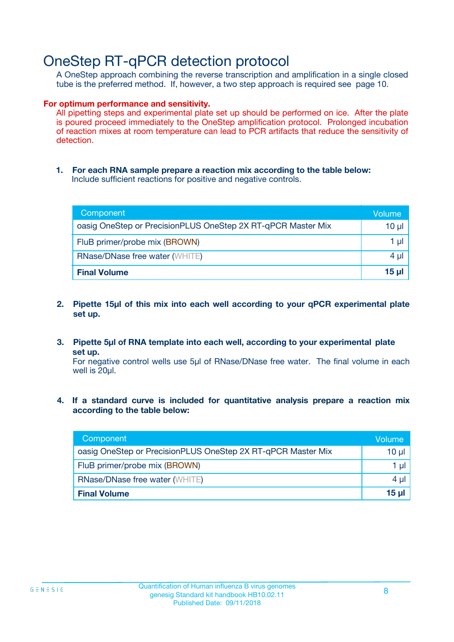## OneStep RT-qPCR detection protocol

A OneStep approach combining the reverse transcription and amplification in a single closed tube is the preferred method. If, however, a two step approach is required see page 10.

#### **For optimum performance and sensitivity.**

All pipetting steps and experimental plate set up should be performed on ice. After the plate is poured proceed immediately to the OneStep amplification protocol. Prolonged incubation of reaction mixes at room temperature can lead to PCR artifacts that reduce the sensitivity of detection.

**1. For each RNA sample prepare a reaction mix according to the table below:** Include sufficient reactions for positive and negative controls.

| Component                                                    | <b>Volume</b> |
|--------------------------------------------------------------|---------------|
| oasig OneStep or PrecisionPLUS OneStep 2X RT-qPCR Master Mix | 10 µl         |
| FluB primer/probe mix (BROWN)                                | 1 µI          |
| <b>RNase/DNase free water (WHITE)</b>                        | 4 µl          |
| <b>Final Volume</b>                                          | <u>15 µl</u>  |

- **2. Pipette 15µl of this mix into each well according to your qPCR experimental plate set up.**
- **3. Pipette 5µl of RNA template into each well, according to your experimental plate set up.**

For negative control wells use 5µl of RNase/DNase free water. The final volume in each well is 20ul.

**4. If a standard curve is included for quantitative analysis prepare a reaction mix according to the table below:**

| Component                                                    | Volume |
|--------------------------------------------------------------|--------|
| oasig OneStep or PrecisionPLUS OneStep 2X RT-qPCR Master Mix | 10 µl  |
| FluB primer/probe mix (BROWN)                                | 1 µl   |
| <b>RNase/DNase free water (WHITE)</b>                        | 4 µl   |
| <b>Final Volume</b>                                          | 15 µl  |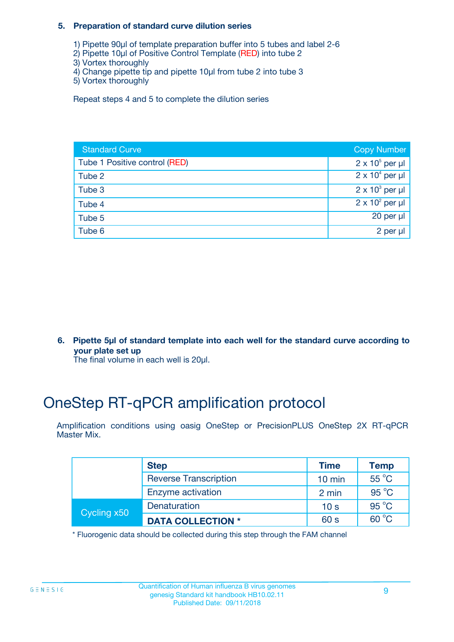#### **5. Preparation of standard curve dilution series**

- 1) Pipette 90µl of template preparation buffer into 5 tubes and label 2-6
- 2) Pipette 10µl of Positive Control Template (RED) into tube 2
- 3) Vortex thoroughly
- 4) Change pipette tip and pipette 10µl from tube 2 into tube 3
- 5) Vortex thoroughly

Repeat steps 4 and 5 to complete the dilution series

| <b>Standard Curve</b>         | <b>Copy Number</b>     |
|-------------------------------|------------------------|
| Tube 1 Positive control (RED) | $2 \times 10^5$ per µl |
| Tube 2                        | $2 \times 10^4$ per µl |
| Tube 3                        | $2 \times 10^3$ per µl |
| Tube 4                        | $2 \times 10^2$ per µl |
| Tube 5                        | 20 per $\mu$           |
| Tube 6                        | 2 per µl               |

**6. Pipette 5µl of standard template into each well for the standard curve according to your plate set up**

The final volume in each well is 20ul.

# OneStep RT-qPCR amplification protocol

Amplification conditions using oasig OneStep or PrecisionPLUS OneStep 2X RT-qPCR Master Mix.

|             | <b>Step</b>                  | <b>Time</b>      | <b>Temp</b>    |
|-------------|------------------------------|------------------|----------------|
|             | <b>Reverse Transcription</b> | $10 \text{ min}$ | $55^{\circ}$ C |
|             | Enzyme activation            | 2 min            | $95^{\circ}$ C |
| Cycling x50 | Denaturation                 | 10 <sub>s</sub>  | $95^{\circ}$ C |
|             | <b>DATA COLLECTION *</b>     | 60 s             | $60^{\circ}$ C |

\* Fluorogenic data should be collected during this step through the FAM channel